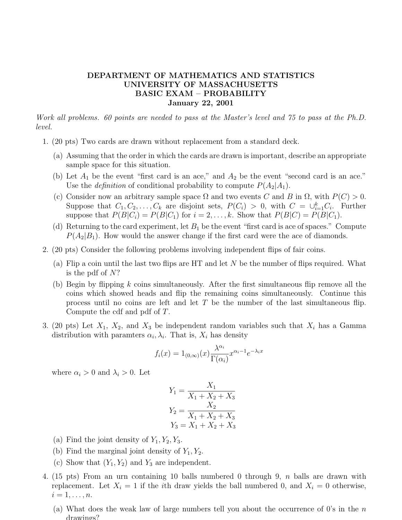## DEPARTMENT OF MATHEMATICS AND STATISTICS UNIVERSITY OF MASSACHUSETTS BASIC EXAM – PROBABILITY January 22, 2001

Work all problems. 60 points are needed to pass at the Master's level and 75 to pass at the Ph.D. level.

- 1. (20 pts) Two cards are drawn without replacement from a standard deck.
	- (a) Assuming that the order in which the cards are drawn is important, describe an appropriate sample space for this situation.
	- (b) Let  $A_1$  be the event "first card is an ace," and  $A_2$  be the event "second card is an ace." Use the *definition* of conditional probability to compute  $P(A_2|A_1)$ .
	- (c) Consider now an arbitrary sample space  $\Omega$  and two events C and B in  $\Omega$ , with  $P(C) > 0$ . Suppose that  $C_1, C_2, \ldots, C_k$  are disjoint sets,  $P(C_i) > 0$ , with  $C = \bigcup_{i=1}^k C_i$ . Further suppose that  $P(B|C_i) = P(B|C_1)$  for  $i = 2, ..., k$ . Show that  $P(B|C) = P(B|C_1)$ .
	- (d) Returning to the card experiment, let  $B_1$  be the event "first card is ace of spaces." Compute  $P(A_2|B_1)$ . How would the answer change if the first card were the ace of diamonds.
- 2. (20 pts) Consider the following problems involving independent flips of fair coins.
	- (a) Flip a coin until the last two flips are HT and let  $N$  be the number of flips required. What is the pdf of N?
	- (b) Begin by flipping k coins simultaneously. After the first simultaneous flip remove all the coins which showed heads and flip the remaining coins simultaneously. Continue this process until no coins are left and let  $T$  be the number of the last simultaneous flip. Compute the cdf and pdf of T.
- 3. (20 pts) Let  $X_1$ ,  $X_2$ , and  $X_3$  be independent random variables such that  $X_i$  has a Gamma distribution with paramters  $\alpha_i, \lambda_i$ . That is,  $X_i$  has density

$$
f_i(x) = 1_{(0,\infty)}(x) \frac{\lambda^{\alpha_i}}{\Gamma(\alpha_i)} x^{\alpha_i - 1} e^{-\lambda_i x}
$$

where  $\alpha_i > 0$  and  $\lambda_i > 0$ . Let

$$
Y_1 = \frac{X_1}{X_1 + X_2 + X_3}
$$

$$
Y_2 = \frac{X_2}{X_1 + X_2 + X_3}
$$

$$
Y_3 = X_1 + X_2 + X_3
$$

- (a) Find the joint density of  $Y_1, Y_2, Y_3$ .
- (b) Find the marginal joint density of  $Y_1, Y_2$ .
- (c) Show that  $(Y_1, Y_2)$  and  $Y_3$  are independent.
- 4. (15 pts) From an urn containing 10 balls numbered 0 through 9, n balls are drawn with replacement. Let  $X_i = 1$  if the *i*th draw yields the ball numbered 0, and  $X_i = 0$  otherwise,  $i=1,\ldots,n.$ 
	- (a) What does the weak law of large numbers tell you about the occurrence of  $0$ 's in the  $n$ drawings?